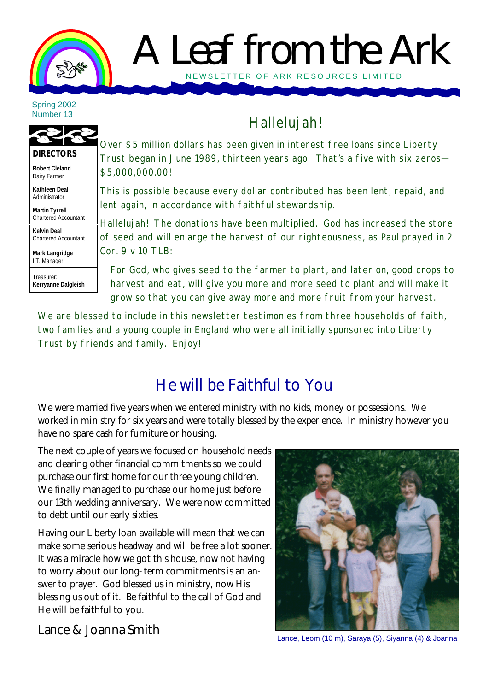

# A Leaf from the Ark NEWSLETTER OF ARK RE SOURCES LIMITED

Spring 2002 Number 13



**Robert Cleland**

Dairy Farmer **Kathleen Deal** Administrator

**Martin Tyrrell** Chartered Accountant

**Kelvin Deal** Chartered Accountant

**Mark Langridge** I.T. Manager

Treasurer: **Kerryanne Dalgleish**

## Hallelujah!

Over \$5 million dollars has been given in interest free loans since Liberty Trust began in June 1989, thirteen years ago. That's a five with six zeros— \$5,000,000.00!

This is possible because every dollar contributed has been lent, repaid, and lent again, in accordance with faithful stewardship.

Hallelujah! The donations have been multiplied. God has increased the store of seed and will enlarge the harvest of our righteousness, as Paul prayed in 2 Cor. 9 v 10 TLB:

For God, who gives seed to the farmer to plant, and later on, good crops to harvest and eat, will give you more and more seed to plant and will make it grow so that you can give away more and more fruit from your harvest.

We are blessed to include in this newsletter testimonies from three households of faith, two families and a young couple in England who were all initially sponsored into Liberty Trust by friends and family. Enjoy!

## He will be Faithful to You

We were married five years when we entered ministry with no kids, money or possessions. We worked in ministry for six years and were totally blessed by the experience. In ministry however you have no spare cash for furniture or housing.

The next couple of years we focused on household needs and clearing other financial commitments so we could purchase our first home for our three young children. We finally managed to purchase our home just before our 13th wedding anniversary. We were now committed to debt until our early sixties.

Having our Liberty loan available will mean that we can make some serious headway and will be free a lot sooner. It was a miracle how we got this house, now not having to worry about our long-term commitments is an answer to prayer. God blessed us in ministry, now His blessing us out of it. Be faithful to the call of God and He will be faithful to you.

Lance, Leom (10 m), Saraya (5), Siyanna (4) & Joanna

Lance & Joanna Smith